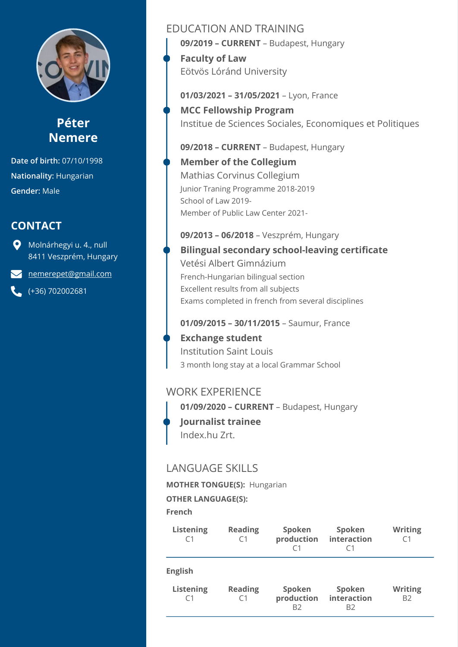

# **Péter Nemere**

**Date of birth:** 07/10/1998 **Nationality:** Hungarian **Gender:** Male

# **CONTACT**

**W** Molnárhegyi u. 4., null 8411 Veszprém, Hungary

**N** [nemerepet@gmail.com](mailto:nemerepet@gmail.com)

 $(+36)$  702002681

# EDUCATION AND TRAINING

**09/2019 – CURRENT** – Budapest, Hungary **Faculty of Law**  Eötvös Lóránd University

**01/03/2021 – 31/05/2021** – Lyon, France

**MCC Fellowship Program**  Institue de Sciences Sociales, Economiques et Politiques

#### **09/2018 – CURRENT** – Budapest, Hungary

Junior Traning Programme 2018-2019 School of Law 2019- Member of Public Law Center 2021- **Member of the Collegium**  Mathias Corvinus Collegium

#### **09/2013 – 06/2018** – Veszprém, Hungary

# French-Hungarian bilingual section Excellent results from all subjects Exams completed in french from several disciplines **Bilingual secondary school-leaving certificate**  Vetési Albert Gimnázium

#### **01/09/2015 – 30/11/2015** – Saumur, France

3 month long stay at a local Grammar School **Exchange student**  Institution Saint Louis

## WORK EXPERIENCE

**01/09/2020 – CURRENT** – Budapest, Hungary **Journalist trainee**  Index.hu Zrt.

# LANGUAGE SKILLS

**MOTHER TONGUE(S):** Hungarian

#### **OTHER LANGUAGE(S):**

#### **French**

| <b>Listening</b>                   | <b>Reading</b><br>C1 | Spoken<br>production                   | Spoken<br>interaction                   | <b>Writing</b>                   |
|------------------------------------|----------------------|----------------------------------------|-----------------------------------------|----------------------------------|
| <b>English</b><br><b>Listening</b> | <b>Reading</b><br>C1 | Spoken<br>production<br>B <sub>2</sub> | Spoken<br>interaction<br>B <sub>2</sub> | <b>Writing</b><br>B <sub>2</sub> |
|                                    |                      |                                        |                                         |                                  |